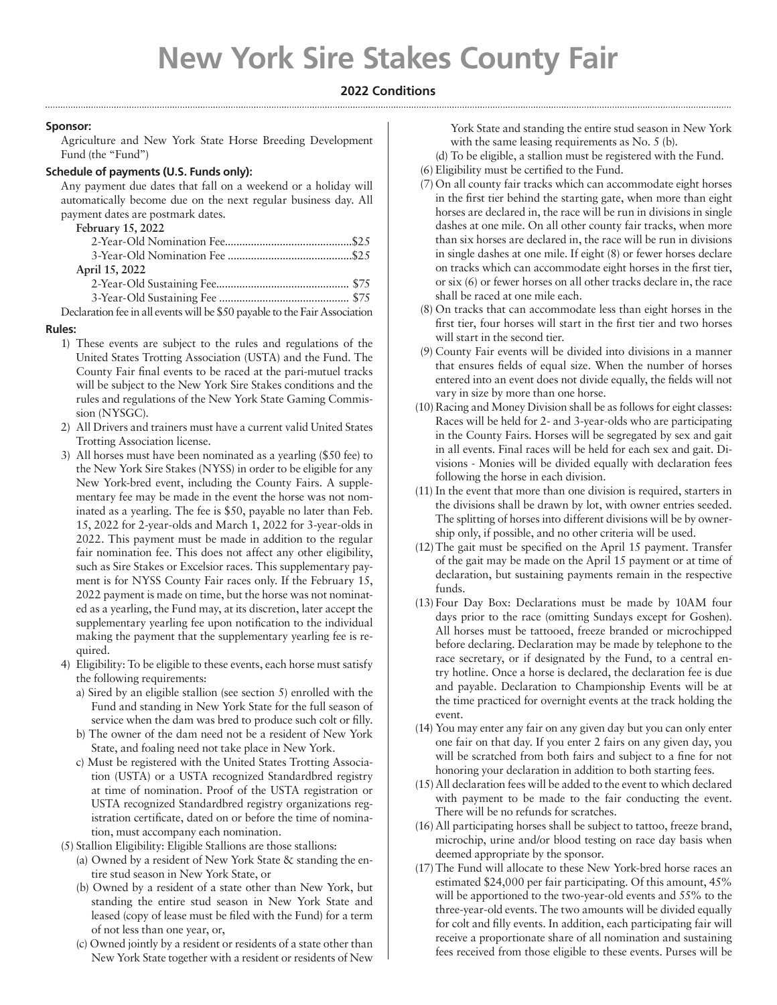# **New York Sire Stakes County Fair**

# **2022 Conditions**

## **Sponsor:**

Agriculture and New York State Horse Breeding Development Fund (the "Fund")

# **Schedule of payments (U.S. Funds only):**

Any payment due dates that fall on a weekend or a holiday will automatically become due on the next regular business day. All payment dates are postmark dates.

## **February 15, 2022**

| April 15, 2022                                                             |  |
|----------------------------------------------------------------------------|--|
|                                                                            |  |
|                                                                            |  |
| Declaration fee in all events will be \$50 payable to the Fair Association |  |

#### **Rules:**

- 1) These events are subject to the rules and regulations of the United States Trotting Association (USTA) and the Fund. The County Fair final events to be raced at the pari-mutuel tracks will be subject to the New York Sire Stakes conditions and the rules and regulations of the New York State Gaming Commission (NYSGC).
- 2) All Drivers and trainers must have a current valid United States Trotting Association license.
- 3) All horses must have been nominated as a yearling (\$50 fee) to the New York Sire Stakes (NYSS) in order to be eligible for any New York-bred event, including the County Fairs. A supplementary fee may be made in the event the horse was not nominated as a yearling. The fee is \$50, payable no later than Feb. 15, 2022 for 2-year-olds and March 1, 2022 for 3-year-olds in 2022. This payment must be made in addition to the regular fair nomination fee. This does not affect any other eligibility, such as Sire Stakes or Excelsior races. This supplementary payment is for NYSS County Fair races only. If the February 15, 2022 payment is made on time, but the horse was not nominated as a yearling, the Fund may, at its discretion, later accept the supplementary yearling fee upon notification to the individual making the payment that the supplementary yearling fee is required.
- 4) Eligibility: To be eligible to these events, each horse must satisfy the following requirements:
	- a) Sired by an eligible stallion (see section 5) enrolled with the Fund and standing in New York State for the full season of service when the dam was bred to produce such colt or filly.
	- b) The owner of the dam need not be a resident of New York State, and foaling need not take place in New York.
	- c) Must be registered with the United States Trotting Association (USTA) or a USTA recognized Standardbred registry at time of nomination. Proof of the USTA registration or USTA recognized Standardbred registry organizations registration certificate, dated on or before the time of nomination, must accompany each nomination.

(5) Stallion Eligibility: Eligible Stallions are those stallions:

- (a) Owned by a resident of New York State & standing the entire stud season in New York State, or
- (b) Owned by a resident of a state other than New York, but standing the entire stud season in New York State and leased (copy of lease must be filed with the Fund) for a term of not less than one year, or,
- (c) Owned jointly by a resident or residents of a state other than New York State together with a resident or residents of New

York State and standing the entire stud season in New York with the same leasing requirements as No. 5 (b).

- (d) To be eligible, a stallion must be registered with the Fund.
- (6) Eligibility must be certified to the Fund.
- (7) On all county fair tracks which can accommodate eight horses in the first tier behind the starting gate, when more than eight horses are declared in, the race will be run in divisions in single dashes at one mile. On all other county fair tracks, when more than six horses are declared in, the race will be run in divisions in single dashes at one mile. If eight (8) or fewer horses declare on tracks which can accommodate eight horses in the first tier, or six (6) or fewer horses on all other tracks declare in, the race shall be raced at one mile each.
- (8) On tracks that can accommodate less than eight horses in the first tier, four horses will start in the first tier and two horses will start in the second tier.
- (9) County Fair events will be divided into divisions in a manner that ensures fields of equal size. When the number of horses entered into an event does not divide equally, the fields will not vary in size by more than one horse.
- (10) Racing and Money Division shall be as follows for eight classes: Races will be held for 2- and 3-year-olds who are participating in the County Fairs. Horses will be segregated by sex and gait in all events. Final races will be held for each sex and gait. Divisions - Monies will be divided equally with declaration fees following the horse in each division.
- (11) In the event that more than one division is required, starters in the divisions shall be drawn by lot, with owner entries seeded. The splitting of horses into different divisions will be by ownership only, if possible, and no other criteria will be used.
- (12)The gait must be specified on the April 15 payment. Transfer of the gait may be made on the April 15 payment or at time of declaration, but sustaining payments remain in the respective funds.
- (13) Four Day Box: Declarations must be made by 10AM four days prior to the race (omitting Sundays except for Goshen). All horses must be tattooed, freeze branded or microchipped before declaring. Declaration may be made by telephone to the race secretary, or if designated by the Fund, to a central entry hotline. Once a horse is declared, the declaration fee is due and payable. Declaration to Championship Events will be at the time practiced for overnight events at the track holding the event.
- (14) You may enter any fair on any given day but you can only enter one fair on that day. If you enter 2 fairs on any given day, you will be scratched from both fairs and subject to a fine for not honoring your declaration in addition to both starting fees.
- (15)All declaration fees will be added to the event to which declared with payment to be made to the fair conducting the event. There will be no refunds for scratches.
- (16) All participating horses shall be subject to tattoo, freeze brand, microchip, urine and/or blood testing on race day basis when deemed appropriate by the sponsor.
- (17)The Fund will allocate to these New York-bred horse races an estimated \$24,000 per fair participating. Of this amount, 45% will be apportioned to the two-year-old events and 55% to the three-year-old events. The two amounts will be divided equally for colt and filly events. In addition, each participating fair will receive a proportionate share of all nomination and sustaining fees received from those eligible to these events. Purses will be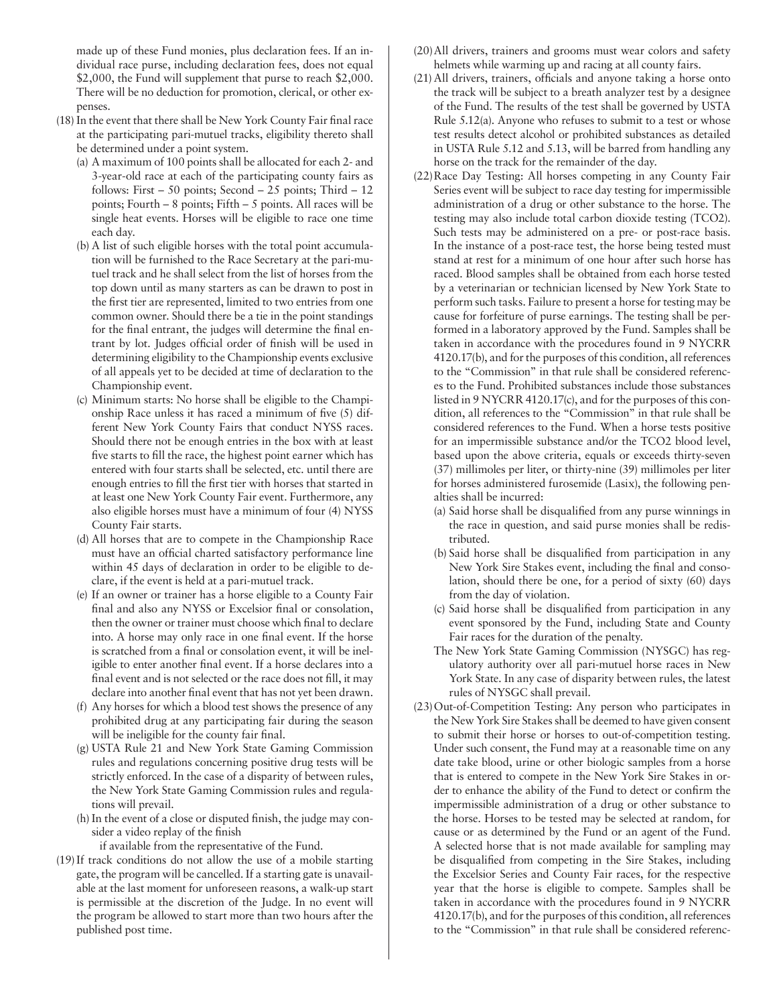made up of these Fund monies, plus declaration fees. If an individual race purse, including declaration fees, does not equal \$2,000, the Fund will supplement that purse to reach \$2,000. There will be no deduction for promotion, clerical, or other expenses.

- (18) In the event that there shall be New York County Fair final race at the participating pari-mutuel tracks, eligibility thereto shall be determined under a point system.
	- (a) A maximum of 100 points shall be allocated for each 2- and 3-year-old race at each of the participating county fairs as follows: First  $-50$  points; Second  $-25$  points; Third  $-12$ points; Fourth – 8 points; Fifth – 5 points. All races will be single heat events. Horses will be eligible to race one time each day.
	- (b) A list of such eligible horses with the total point accumulation will be furnished to the Race Secretary at the pari-mutuel track and he shall select from the list of horses from the top down until as many starters as can be drawn to post in the first tier are represented, limited to two entries from one common owner. Should there be a tie in the point standings for the final entrant, the judges will determine the final entrant by lot. Judges official order of finish will be used in determining eligibility to the Championship events exclusive of all appeals yet to be decided at time of declaration to the Championship event.
	- (c) Minimum starts: No horse shall be eligible to the Championship Race unless it has raced a minimum of five (5) different New York County Fairs that conduct NYSS races. Should there not be enough entries in the box with at least five starts to fill the race, the highest point earner which has entered with four starts shall be selected, etc. until there are enough entries to fill the first tier with horses that started in at least one New York County Fair event. Furthermore, any also eligible horses must have a minimum of four (4) NYSS County Fair starts.
	- (d) All horses that are to compete in the Championship Race must have an official charted satisfactory performance line within 45 days of declaration in order to be eligible to declare, if the event is held at a pari-mutuel track.
	- (e) If an owner or trainer has a horse eligible to a County Fair final and also any NYSS or Excelsior final or consolation, then the owner or trainer must choose which final to declare into. A horse may only race in one final event. If the horse is scratched from a final or consolation event, it will be ineligible to enter another final event. If a horse declares into a final event and is not selected or the race does not fill, it may declare into another final event that has not yet been drawn.
	- (f) Any horses for which a blood test shows the presence of any prohibited drug at any participating fair during the season will be ineligible for the county fair final.
	- (g) USTA Rule 21 and New York State Gaming Commission rules and regulations concerning positive drug tests will be strictly enforced. In the case of a disparity of between rules, the New York State Gaming Commission rules and regulations will prevail.
	- (h) In the event of a close or disputed finish, the judge may consider a video replay of the finish
		- if available from the representative of the Fund.
- (19)If track conditions do not allow the use of a mobile starting gate, the program will be cancelled. If a starting gate is unavailable at the last moment for unforeseen reasons, a walk-up start is permissible at the discretion of the Judge. In no event will the program be allowed to start more than two hours after the published post time.
- (20)All drivers, trainers and grooms must wear colors and safety helmets while warming up and racing at all county fairs.
- (21) All drivers, trainers, officials and anyone taking a horse onto the track will be subject to a breath analyzer test by a designee of the Fund. The results of the test shall be governed by USTA Rule 5.12(a). Anyone who refuses to submit to a test or whose test results detect alcohol or prohibited substances as detailed in USTA Rule 5.12 and 5.13, will be barred from handling any horse on the track for the remainder of the day.
- (22)Race Day Testing: All horses competing in any County Fair Series event will be subject to race day testing for impermissible administration of a drug or other substance to the horse. The testing may also include total carbon dioxide testing (TCO2). Such tests may be administered on a pre- or post-race basis. In the instance of a post-race test, the horse being tested must stand at rest for a minimum of one hour after such horse has raced. Blood samples shall be obtained from each horse tested by a veterinarian or technician licensed by New York State to perform such tasks. Failure to present a horse for testing may be cause for forfeiture of purse earnings. The testing shall be performed in a laboratory approved by the Fund. Samples shall be taken in accordance with the procedures found in 9 NYCRR 4120.17(b), and for the purposes of this condition, all references to the "Commission" in that rule shall be considered references to the Fund. Prohibited substances include those substances listed in 9 NYCRR 4120.17(c), and for the purposes of this condition, all references to the "Commission" in that rule shall be considered references to the Fund. When a horse tests positive for an impermissible substance and/or the TCO2 blood level, based upon the above criteria, equals or exceeds thirty-seven (37) millimoles per liter, or thirty-nine (39) millimoles per liter for horses administered furosemide (Lasix), the following penalties shall be incurred:
	- (a) Said horse shall be disqualified from any purse winnings in the race in question, and said purse monies shall be redistributed.
	- (b) Said horse shall be disqualified from participation in any New York Sire Stakes event, including the final and consolation, should there be one, for a period of sixty (60) days from the day of violation.
	- (c) Said horse shall be disqualified from participation in any event sponsored by the Fund, including State and County Fair races for the duration of the penalty.
	- The New York State Gaming Commission (NYSGC) has regulatory authority over all pari-mutuel horse races in New York State. In any case of disparity between rules, the latest rules of NYSGC shall prevail.
- (23)Out-of-Competition Testing: Any person who participates in the New York Sire Stakes shall be deemed to have given consent to submit their horse or horses to out-of-competition testing. Under such consent, the Fund may at a reasonable time on any date take blood, urine or other biologic samples from a horse that is entered to compete in the New York Sire Stakes in order to enhance the ability of the Fund to detect or confirm the impermissible administration of a drug or other substance to the horse. Horses to be tested may be selected at random, for cause or as determined by the Fund or an agent of the Fund. A selected horse that is not made available for sampling may be disqualified from competing in the Sire Stakes, including the Excelsior Series and County Fair races, for the respective year that the horse is eligible to compete. Samples shall be taken in accordance with the procedures found in 9 NYCRR 4120.17(b), and for the purposes of this condition, all references to the "Commission" in that rule shall be considered referenc-